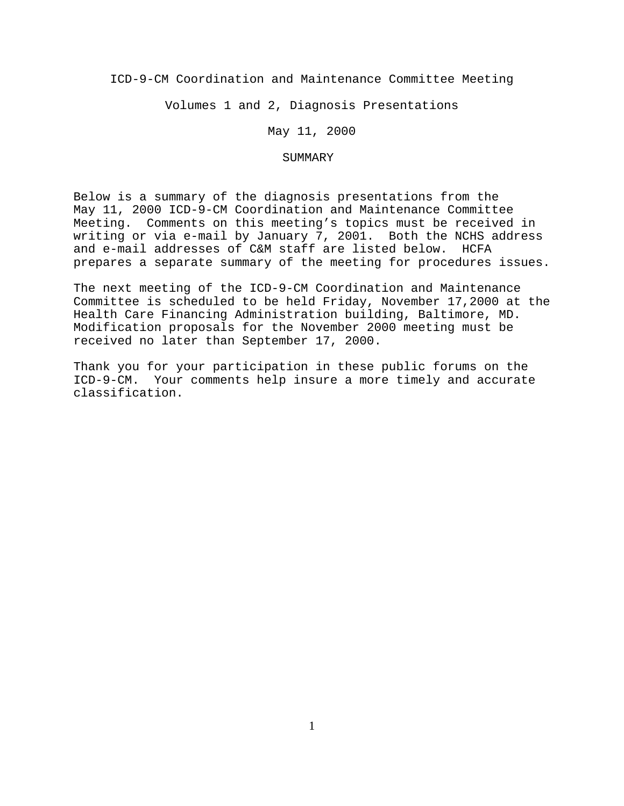ICD-9-CM Coordination and Maintenance Committee Meeting

Volumes 1 and 2, Diagnosis Presentations

May 11, 2000

### SUMMARY

Below is a summary of the diagnosis presentations from the May 11, 2000 ICD-9-CM Coordination and Maintenance Committee Meeting. Comments on this meeting's topics must be received in writing or via e-mail by January 7, 2001. Both the NCHS address and e-mail addresses of C&M staff are listed below. HCFA prepares a separate summary of the meeting for procedures issues.

The next meeting of the ICD-9-CM Coordination and Maintenance Committee is scheduled to be held Friday, November 17,2000 at the Health Care Financing Administration building, Baltimore, MD. Modification proposals for the November 2000 meeting must be received no later than September 17, 2000.

Thank you for your participation in these public forums on the ICD-9-CM. Your comments help insure a more timely and accurate classification.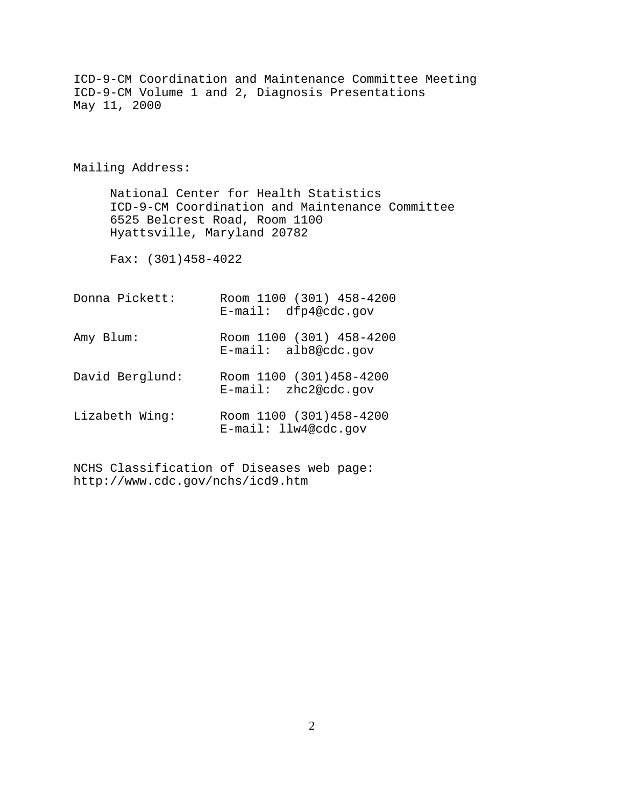| May 11, 2000                | ICD-9-CM Coordination and Maintenance Committee Meeting<br>ICD-9-CM Volume 1 and 2, Diagnosis Presentations               |
|-----------------------------|---------------------------------------------------------------------------------------------------------------------------|
| Mailing Address:            |                                                                                                                           |
| Hyattsville, Maryland 20782 | National Center for Health Statistics<br>ICD-9-CM Coordination and Maintenance Committee<br>6525 Belcrest Road, Room 1100 |
| Fax: $(301)458-4022$        |                                                                                                                           |
| Donna Pickett:              | Room 1100 (301) 458-4200<br>$E$ -mail: dfp4@cdc.qov                                                                       |
| Amy Blum:                   | Room 1100 (301) 458-4200<br>$E$ -mail: alb8@cdc.gov                                                                       |
| David Berglund:             | Room 1100 (301)458-4200<br>$E$ -mail: zhc2@cdc.gov                                                                        |
| Lizabeth Wing:              | Room 1100 (301)458-4200<br>$E$ -mail: llw4@cdc.gov                                                                        |

NCHS Classification of Diseases web page: http://www.cdc.gov/nchs/icd9.htm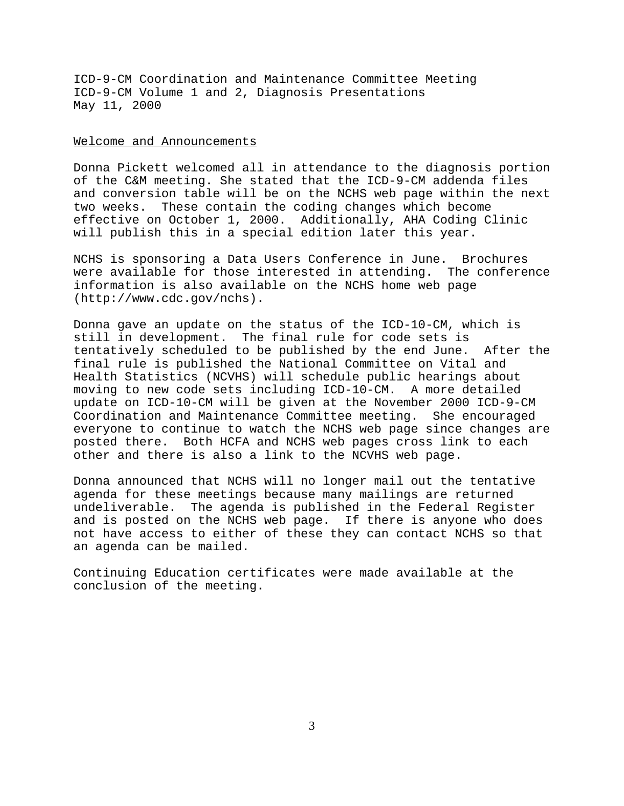#### Welcome and Announcements

Donna Pickett welcomed all in attendance to the diagnosis portion of the C&M meeting. She stated that the ICD-9-CM addenda files and conversion table will be on the NCHS web page within the next two weeks. These contain the coding changes which become effective on October 1, 2000. Additionally, AHA Coding Clinic will publish this in a special edition later this year.

NCHS is sponsoring a Data Users Conference in June. Brochures were available for those interested in attending. The conference information is also available on the NCHS home web page (http://www.cdc.gov/nchs).

Donna gave an update on the status of the ICD-10-CM, which is still in development. The final rule for code sets is tentatively scheduled to be published by the end June. After the final rule is published the National Committee on Vital and Health Statistics (NCVHS) will schedule public hearings about moving to new code sets including ICD-10-CM. A more detailed update on ICD-10-CM will be given at the November 2000 ICD-9-CM Coordination and Maintenance Committee meeting. She encouraged everyone to continue to watch the NCHS web page since changes are posted there. Both HCFA and NCHS web pages cross link to each other and there is also a link to the NCVHS web page.

Donna announced that NCHS will no longer mail out the tentative agenda for these meetings because many mailings are returned undeliverable. The agenda is published in the Federal Register and is posted on the NCHS web page. If there is anyone who does not have access to either of these they can contact NCHS so that an agenda can be mailed.

Continuing Education certificates were made available at the conclusion of the meeting.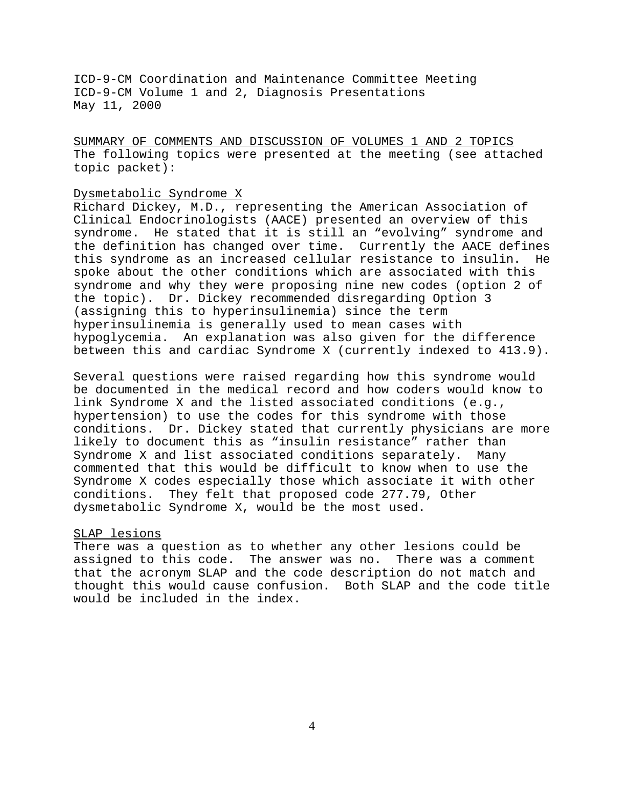SUMMARY OF COMMENTS AND DISCUSSION OF VOLUMES 1 AND 2 TOPICS The following topics were presented at the meeting (see attached topic packet):

## Dysmetabolic Syndrome X

Richard Dickey, M.D., representing the American Association of Clinical Endocrinologists (AACE) presented an overview of this syndrome. He stated that it is still an "evolving" syndrome and the definition has changed over time. Currently the AACE defines this syndrome as an increased cellular resistance to insulin. He spoke about the other conditions which are associated with this syndrome and why they were proposing nine new codes (option 2 of the topic). Dr. Dickey recommended disregarding Option 3 (assigning this to hyperinsulinemia) since the term hyperinsulinemia is generally used to mean cases with hypoglycemia. An explanation was also given for the difference between this and cardiac Syndrome X (currently indexed to 413.9).

Several questions were raised regarding how this syndrome would be documented in the medical record and how coders would know to link Syndrome X and the listed associated conditions (e.g., hypertension) to use the codes for this syndrome with those conditions. Dr. Dickey stated that currently physicians are more likely to document this as "insulin resistance" rather than Syndrome X and list associated conditions separately. Many commented that this would be difficult to know when to use the Syndrome X codes especially those which associate it with other conditions. They felt that proposed code 277.79, Other dysmetabolic Syndrome X, would be the most used.

#### SLAP lesions

There was a question as to whether any other lesions could be assigned to this code. The answer was no. There was a comment that the acronym SLAP and the code description do not match and thought this would cause confusion. Both SLAP and the code title would be included in the index.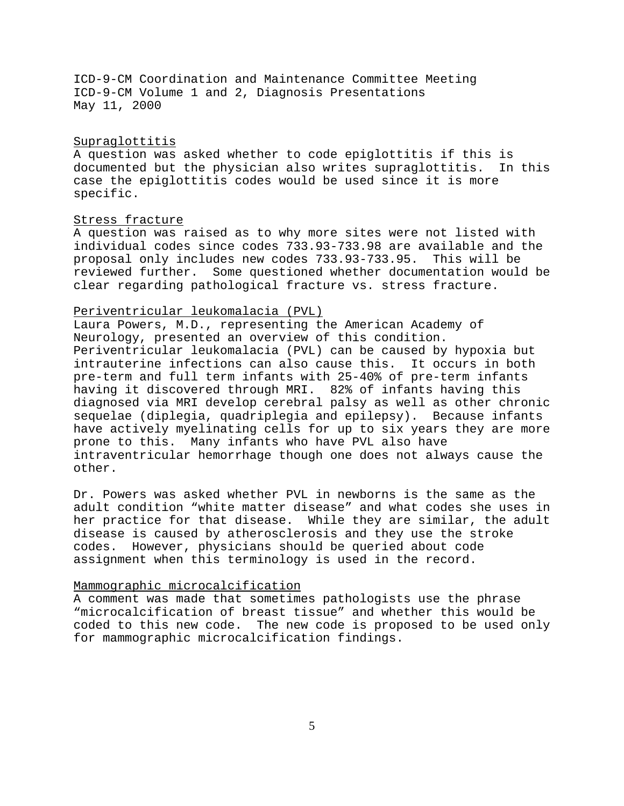## Supraglottitis

A question was asked whether to code epiglottitis if this is documented but the physician also writes supraglottitis. In this case the epiglottitis codes would be used since it is more specific.

#### Stress fracture

A question was raised as to why more sites were not listed with individual codes since codes 733.93-733.98 are available and the proposal only includes new codes 733.93-733.95. This will be reviewed further. Some questioned whether documentation would be clear regarding pathological fracture vs. stress fracture.

## Periventricular leukomalacia (PVL)

Laura Powers, M.D., representing the American Academy of Neurology, presented an overview of this condition. Periventricular leukomalacia (PVL) can be caused by hypoxia but intrauterine infections can also cause this. It occurs in both pre-term and full term infants with 25-40% of pre-term infants having it discovered through MRI. 82% of infants having this diagnosed via MRI develop cerebral palsy as well as other chronic sequelae (diplegia, quadriplegia and epilepsy). Because infants have actively myelinating cells for up to six years they are more prone to this. Many infants who have PVL also have intraventricular hemorrhage though one does not always cause the other.

Dr. Powers was asked whether PVL in newborns is the same as the adult condition "white matter disease" and what codes she uses in her practice for that disease. While they are similar, the adult disease is caused by atherosclerosis and they use the stroke codes. However, physicians should be queried about code assignment when this terminology is used in the record.

## Mammographic microcalcification

A comment was made that sometimes pathologists use the phrase "microcalcification of breast tissue" and whether this would be coded to this new code. The new code is proposed to be used only for mammographic microcalcification findings.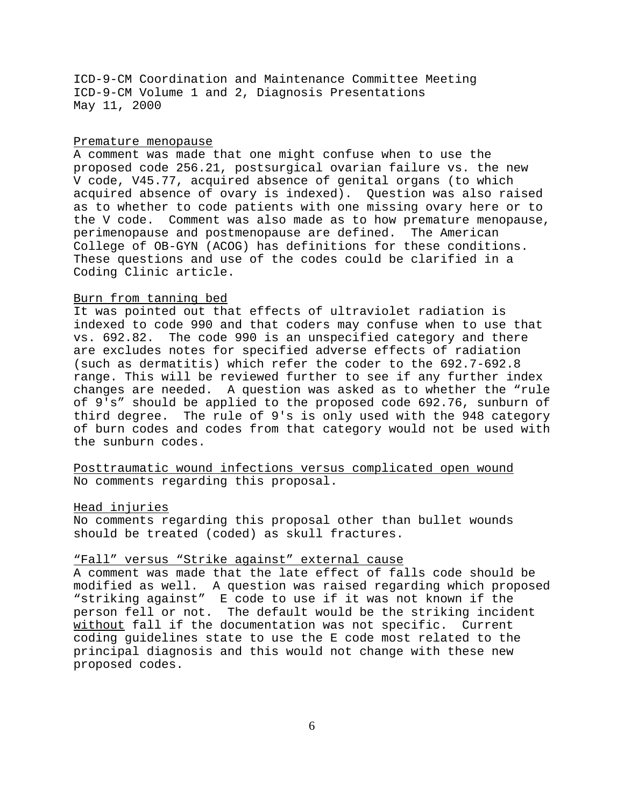### Premature menopause

A comment was made that one might confuse when to use the proposed code 256.21, postsurgical ovarian failure vs. the new V code, V45.77, acquired absence of genital organs (to which acquired absence of ovary is indexed). Question was also raised as to whether to code patients with one missing ovary here or to the V code. Comment was also made as to how premature menopause, perimenopause and postmenopause are defined. The American College of OB-GYN (ACOG) has definitions for these conditions. These questions and use of the codes could be clarified in a Coding Clinic article.

### Burn from tanning bed

It was pointed out that effects of ultraviolet radiation is indexed to code 990 and that coders may confuse when to use that vs. 692.82. The code 990 is an unspecified category and there are excludes notes for specified adverse effects of radiation (such as dermatitis) which refer the coder to the 692.7-692.8 range. This will be reviewed further to see if any further index changes are needed. A question was asked as to whether the "rule of 9's" should be applied to the proposed code 692.76, sunburn of third degree. The rule of 9's is only used with the 948 category of burn codes and codes from that category would not be used with the sunburn codes.

Posttraumatic wound infections versus complicated open wound No comments regarding this proposal.

#### Head injuries

No comments regarding this proposal other than bullet wounds should be treated (coded) as skull fractures.

# "Fall" versus "Strike against" external cause

A comment was made that the late effect of falls code should be modified as well. A question was raised regarding which proposed "striking against" E code to use if it was not known if the person fell or not. The default would be the striking incident without fall if the documentation was not specific. Current coding guidelines state to use the E code most related to the principal diagnosis and this would not change with these new proposed codes.